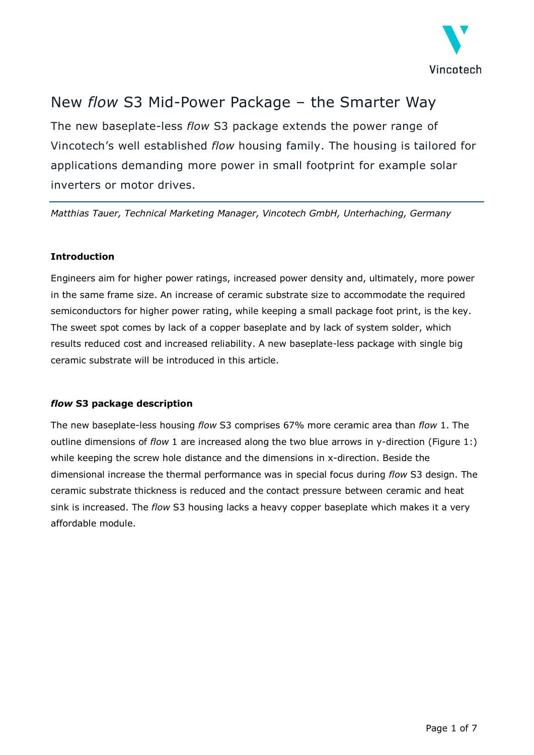

# New *flow* S3 Mid-Power Package – the Smarter Way

The new baseplate-less *flow* S3 package extends the power range of Vincotech's well established *flow* housing family. The housing is tailored for applications demanding more power in small footprint for example solar inverters or motor drives.

*Matthias Tauer, Technical Marketing Manager, Vincotech GmbH, Unterhaching, Germany*

### **Introduction**

Engineers aim for higher power ratings, increased power density and, ultimately, more power in the same frame size. An increase of ceramic substrate size to accommodate the required semiconductors for higher power rating, while keeping a small package foot print, is the key. The sweet spot comes by lack of a copper baseplate and by lack of system solder, which results reduced cost and increased reliability. A new baseplate-less package with single big ceramic substrate will be introduced in this article.

## *flow* **S3 package description**

The new baseplate-less housing *flow* S3 comprises 67% more ceramic area than *flow* 1. The outline dimensions of *flow* 1 are increased along the two blue arrows in y-direction [\(Figure 1:\)](#page-1-0) while keeping the screw hole distance and the dimensions in x-direction. Beside the dimensional increase the thermal performance was in special focus during *flow* S3 design. The ceramic substrate thickness is reduced and the contact pressure between ceramic and heat sink is increased. The *flow* S3 housing lacks a heavy copper baseplate which makes it a very affordable module.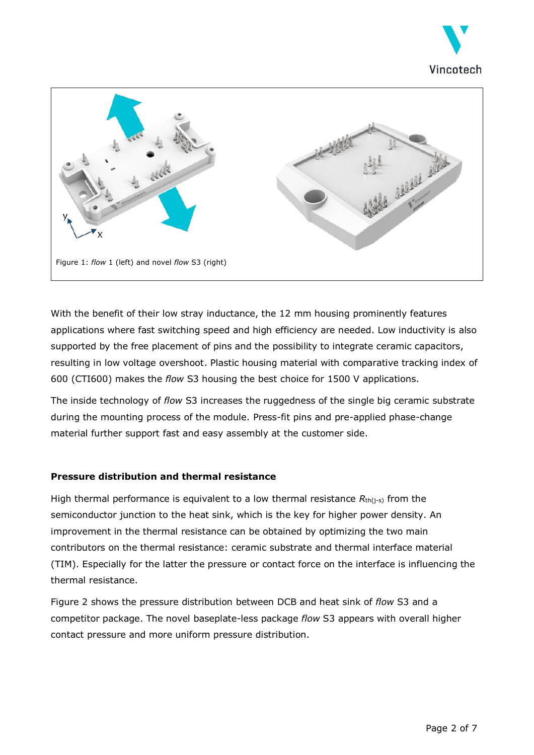



<span id="page-1-0"></span>With the benefit of their low stray inductance, the 12 mm housing prominently features applications where fast switching speed and high efficiency are needed. Low inductivity is also supported by the free placement of pins and the possibility to integrate ceramic capacitors, resulting in low voltage overshoot. Plastic housing material with comparative tracking index of 600 (CTI600) makes the *flow* S3 housing the best choice for 1500 V applications.

The inside technology of *flow* S3 increases the ruggedness of the single big ceramic substrate during the mounting process of the module. Press-fit pins and pre-applied phase-change material further support fast and easy assembly at the customer side.

#### **Pressure distribution and thermal resistance**

High thermal performance is equivalent to a low thermal resistance  $R_{\text{th}(i-s)}$  from the semiconductor junction to the heat sink, which is the key for higher power density. An improvement in the thermal resistance can be obtained by optimizing the two main contributors on the thermal resistance: ceramic substrate and thermal interface material (TIM). Especially for the latter the pressure or contact force on the interface is influencing the thermal resistance.

[Figure 2](#page-2-0) shows the pressure distribution between DCB and heat sink of *flow* S3 and a competitor package. The novel baseplate-less package *flow* S3 appears with overall higher contact pressure and more uniform pressure distribution.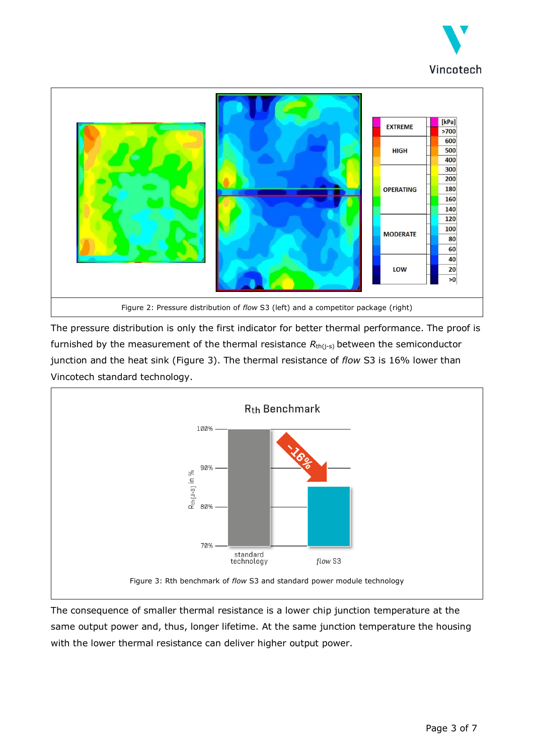



<span id="page-2-0"></span>The pressure distribution is only the first indicator for better thermal performance. The proof is furnished by the measurement of the thermal resistance  $R_{th(j-s)}$  between the semiconductor junction and the heat sink [\(Figure 3\)](#page-2-1). The thermal resistance of *flow* S3 is 16% lower than Vincotech standard technology.



<span id="page-2-1"></span>The consequence of smaller thermal resistance is a lower chip junction temperature at the same output power and, thus, longer lifetime. At the same junction temperature the housing with the lower thermal resistance can deliver higher output power.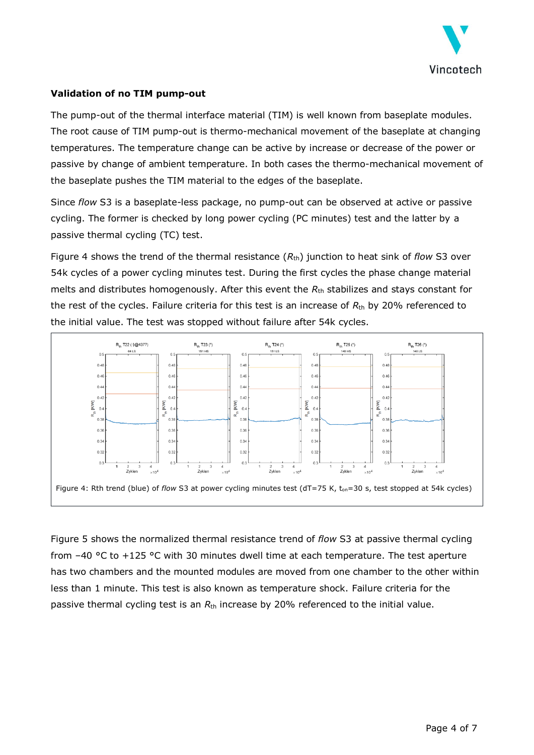

#### **Validation of no TIM pump-out**

The pump-out of the thermal interface material (TIM) is well known from baseplate modules. The root cause of TIM pump-out is thermo-mechanical movement of the baseplate at changing temperatures. The temperature change can be active by increase or decrease of the power or passive by change of ambient temperature. In both cases the thermo-mechanical movement of the baseplate pushes the TIM material to the edges of the baseplate.

Since *flow* S3 is a baseplate-less package, no pump-out can be observed at active or passive cycling. The former is checked by long power cycling (PC minutes) test and the latter by a passive thermal cycling (TC) test.

[Figure 4](#page-3-0) shows the trend of the thermal resistance  $(R<sub>th</sub>)$  junction to heat sink of *flow* S3 over 54k cycles of a power cycling minutes test. During the first cycles the phase change material melts and distributes homogenously. After this event the  $R_{\text{th}}$  stabilizes and stays constant for the rest of the cycles. Failure criteria for this test is an increase of *R*th by 20% referenced to the initial value. The test was stopped without failure after 54k cycles.



<span id="page-3-0"></span>[Figure](#page-4-0) 5 shows the normalized thermal resistance trend of *flow* S3 at passive thermal cycling from –40 °C to +125 °C with 30 minutes dwell time at each temperature. The test aperture has two chambers and the mounted modules are moved from one chamber to the other within less than 1 minute. This test is also known as temperature shock. Failure criteria for the passive thermal cycling test is an *R*th increase by 20% referenced to the initial value.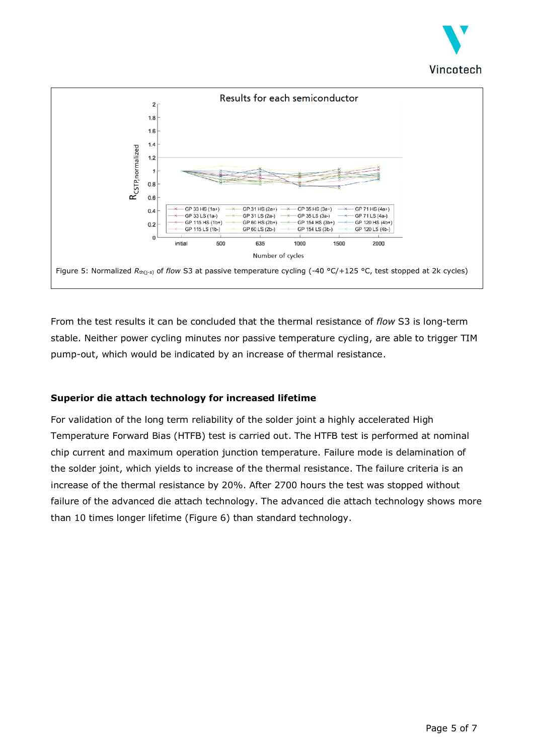



<span id="page-4-0"></span>From the test results it can be concluded that the thermal resistance of *flow* S3 is long-term stable. Neither power cycling minutes nor passive temperature cycling, are able to trigger TIM pump-out, which would be indicated by an increase of thermal resistance.

## **Superior die attach technology for increased lifetime**

For validation of the long term reliability of the solder joint a highly accelerated High Temperature Forward Bias (HTFB) test is carried out. The HTFB test is performed at nominal chip current and maximum operation junction temperature. Failure mode is delamination of the solder joint, which yields to increase of the thermal resistance. The failure criteria is an increase of the thermal resistance by 20%. After 2700 hours the test was stopped without failure of the advanced die attach technology. The advanced die attach technology shows more than 10 times longer lifetime [\(Figure 6\)](#page-5-0) than standard technology.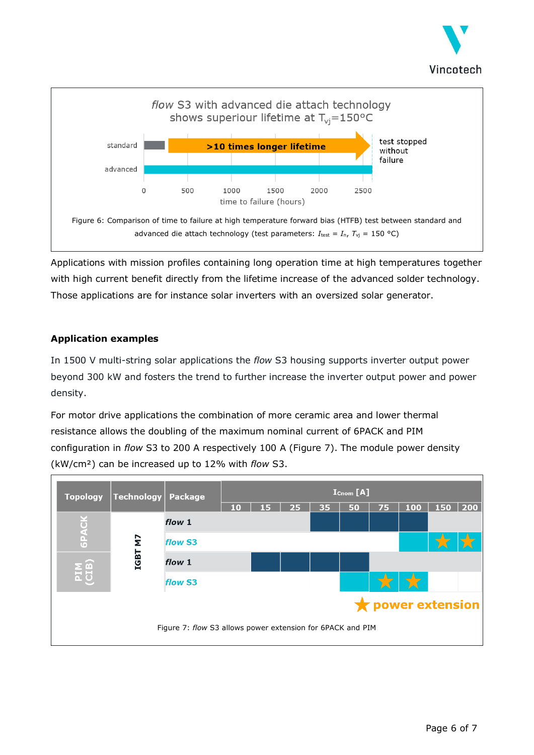



<span id="page-5-0"></span>Applications with mission profiles containing long operation time at high temperatures together with high current benefit directly from the lifetime increase of the advanced solder technology. Those applications are for instance solar inverters with an oversized solar generator.

## **Application examples**

In 1500 V multi-string solar applications the *flow* S3 housing supports inverter output power beyond 300 kW and fosters the trend to further increase the inverter output power and power density.

For motor drive applications the combination of more ceramic area and lower thermal resistance allows the doubling of the maximum nominal current of 6PACK and PIM configuration in *flow* S3 to 200 A respectively 100 A [\(Figure 7\)](#page-5-1). The module power density (kW/cm²) can be increased up to 12% with *flow* S3.

<span id="page-5-1"></span>